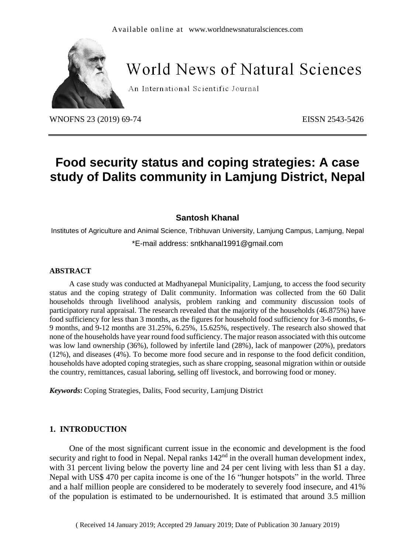

# **World News of Natural Sciences**

An International Scientific Journal

WNOFNS 23 (2019) 69-74 EISSN 2543-5426

## **Food security status and coping strategies: A case study of Dalits community in Lamjung District, Nepal**

### **Santosh Khanal**

Institutes of Agriculture and Animal Science, Tribhuvan University, Lamjung Campus, Lamjung, Nepal \*E-mail address: sntkhanal1991@gmail.com

#### **ABSTRACT**

A case study was conducted at Madhyanepal Municipality, Lamjung, to access the food security status and the coping strategy of Dalit community. Information was collected from the 60 Dalit households through livelihood analysis, problem ranking and community discussion tools of participatory rural appraisal. The research revealed that the majority of the households (46.875%) have food sufficiency for less than 3 months, as the figures for household food sufficiency for 3-6 months, 6- 9 months, and 9-12 months are 31.25%, 6.25%, 15.625%, respectively. The research also showed that none of the households have year round food sufficiency. The major reason associated with this outcome was low land ownership (36%), followed by infertile land (28%), lack of manpower (20%), predators (12%), and diseases (4%). To become more food secure and in response to the food deficit condition, households have adopted coping strategies, such as share cropping, seasonal migration within or outside the country, remittances, casual laboring, selling off livestock, and borrowing food or money.

*Keywords***:** Coping Strategies, Dalits, Food security, Lamjung District

## **1. INTRODUCTION**

One of the most significant current issue in the economic and development is the food security and right to food in Nepal. Nepal ranks 142<sup>nd</sup> in the overall human development index, with 31 percent living below the poverty line and 24 per cent living with less than \$1 a day. Nepal with US\$ 470 per capita income is one of the 16 "hunger hotspots" in the world. Three and a half million people are considered to be moderately to severely food insecure, and 41% of the population is estimated to be undernourished. It is estimated that around 3.5 million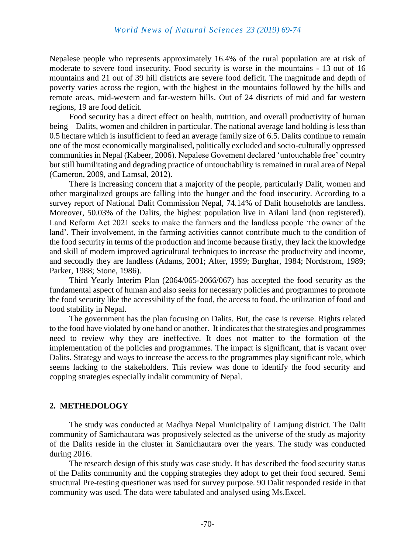#### *World News of Natural Sciences 23 (2019) 69-74*

Nepalese people who represents approximately 16.4% of the rural population are at risk of moderate to severe food insecurity. Food security is worse in the mountains - 13 out of 16 mountains and 21 out of 39 hill districts are severe food deficit. The magnitude and depth of poverty varies across the region, with the highest in the mountains followed by the hills and remote areas, mid-western and far-western hills. Out of 24 districts of mid and far western regions, 19 are food deficit.

Food security has a direct effect on health, nutrition, and overall productivity of human being – Dalits, women and children in particular. The national average land holding is less than 0.5 hectare which is insufficient to feed an average family size of 6.5. Dalits continue to remain one of the most economically marginalised, politically excluded and socio-culturally oppressed communities in Nepal [\(Kabeer, 2006\)](https://www.sciencedirect.com/science/article/pii/S0016718515301433#b9005). Nepalese Govement declared 'untouchable free' country but still humilitating and degrading practice of untouchability is remained in rural area of Nepal [\(Cameron, 2009,](https://www.sciencedirect.com/science/article/pii/S0016718515301433#b0165) and [Lamsal, 2012\)](https://www.sciencedirect.com/science/article/pii/S0016718515301433#b0415).

There is increasing concern that a majority of the people, particularly Dalit, women and other marginalized groups are falling into the hunger and the food insecurity. According to a survey report of National Dalit Commission Nepal, 74.14% of Dalit households are landless. Moreover, 50.03% of the Dalits, the highest population live in Ailani land (non registered). Land Reform Act 2021 seeks to make the farmers and the landless people 'the owner of the land'. Their involvement, in the farming activities cannot contribute much to the condition of the food security in terms of the production and income because firstly, they lack the knowledge and skill of modern improved agricultural techniques to increase the productivity and income, and secondly they are landless (Adams, 2001; Alter, 1999; Burghar, 1984; Nordstrom, 1989; Parker, 1988; Stone, 1986).

Third Yearly Interim Plan (2064/065-2066/067) has accepted the food security as the fundamental aspect of human and also seeks for necessary policies and programmes to promote the food security like the accessibility of the food, the access to food, the utilization of food and food stability in Nepal.

The government has the plan focusing on Dalits. But, the case is reverse. Rights related to the food have violated by one hand or another. It indicates that the strategies and programmes need to review why they are ineffective. It does not matter to the formation of the implementation of the policies and programmes. The impact is significant, that is vacant over Dalits. Strategy and ways to increase the access to the programmes play significant role, which seems lacking to the stakeholders. This review was done to identify the food security and copping strategies especially indalit community of Nepal.

#### **2. METHEDOLOGY**

The study was conducted at Madhya Nepal Municipality of Lamjung district. The Dalit community of Samichautara was proposively selected as the universe of the study as majority of the Dalits reside in the cluster in Samichautara over the years. The study was conducted during 2016.

The research design of this study was case study. It has described the food security status of the Dalits community and the copping strategies they adopt to get their food secured. Semi structural Pre-testing questioner was used for survey purpose. 90 Dalit responded reside in that community was used. The data were tabulated and analysed using Ms.Excel.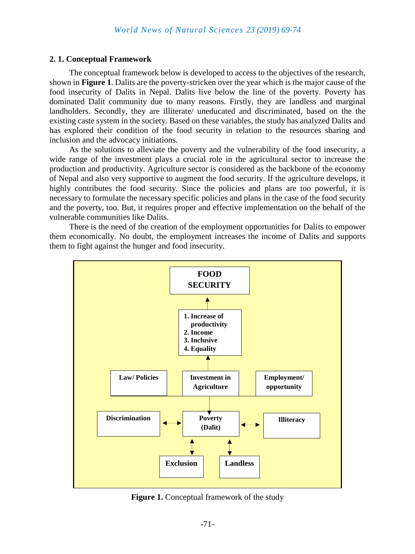#### **2. 1. Conceptual Framework**

The conceptual framework below is developed to access to the objectives of the research, shown in **Figure 1**. Dalits are the poverty-stricken over the year which is the major cause of the food insecurity of Dalits in Nepal. Dalits live below the line of the poverty. Poverty has dominated Dalit community due to many reasons. Firstly, they are landless and marginal landholders. Secondly, they are illiterate/ uneducated and discriminated, based on the the existing caste system in the society. Based on these variables, the study has analyzed Dalits and has explored their condition of the food security in relation to the resources sharing and inclusion and the advocacy initiations.

As the solutions to alleviate the poverty and the vulnerability of the food insecurity, a wide range of the investment plays a crucial role in the agricultural sector to increase the production and productivity. Agriculture sector is considered as the backbone of the economy of Nepal and also very supportive to augment the food security. If the agriculture develops, it highly contributes the food security. Since the policies and plans are too powerful, it is necessary to formulate the necessary specific policies and plans in the case of the food security and the poverty, too. But, it requires proper and effective implementation on the behalf of the vulnerable communities like Dalits.

There is the need of the creation of the employment opportunities for Dalits to empower them economically. No doubt, the employment increases the income of Dalits and supports them to fight against the hunger and food insecurity.



**Figure 1.** Conceptual framework of the study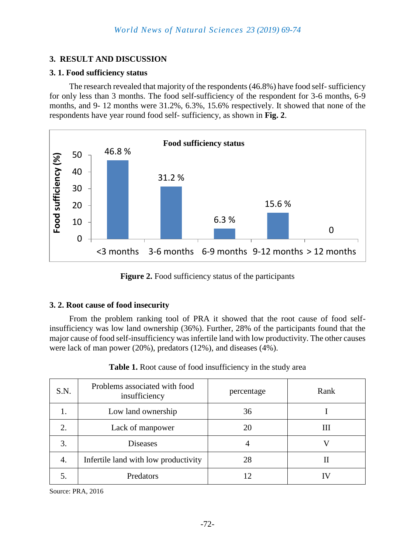## **3. RESULT AND DISCUSSION**

## **3. 1. Food sufficiency status**

The research revealed that majority of the respondents (46.8%) have food self-sufficiency for only less than 3 months. The food self-sufficiency of the respondent for 3-6 months, 6-9 months, and 9- 12 months were 31.2%, 6.3%, 15.6% respectively. It showed that none of the respondents have year round food self- sufficiency, as shown in **Fig. 2**.



**Figure 2.** Food sufficiency status of the participants

## **3. 2. Root cause of food insecurity**

From the problem ranking tool of PRA it showed that the root cause of food selfinsufficiency was low land ownership (36%). Further, 28% of the participants found that the major cause of food self-insufficiency was infertile land with low productivity. The other causes were lack of man power (20%), predators (12%), and diseases (4%).

| S.N. | Problems associated with food<br>insufficiency | percentage | Rank |
|------|------------------------------------------------|------------|------|
|      | Low land ownership                             | 36         |      |
| 2.   | Lack of manpower                               | 20         | Ш    |
| 3.   | <b>Diseases</b>                                |            |      |
| 4.   | Infertile land with low productivity           | 28         |      |
|      | Predators                                      |            |      |

**Table 1.** Root cause of food insufficiency in the study area

Source: PRA, 2016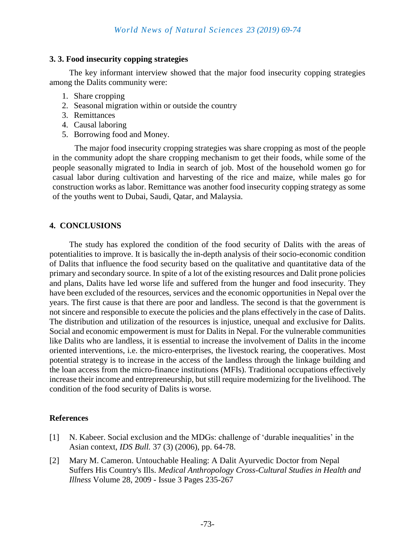## **3. 3. Food insecurity copping strategies**

The key informant interview showed that the major food insecurity copping strategies among the Dalits community were:

- 1. Share cropping
- 2. Seasonal migration within or outside the country
- 3. Remittances
- 4. Causal laboring
- 5. Borrowing food and Money.

The major food insecurity cropping strategies was share cropping as most of the people in the community adopt the share cropping mechanism to get their foods, while some of the people seasonally migrated to India in search of job. Most of the household women go for casual labor during cultivation and harvesting of the rice and maize, while males go for construction works as labor. Remittance was another food insecurity copping strategy as some of the youths went to Dubai, Saudi, Qatar, and Malaysia.

## **4. CONCLUSIONS**

The study has explored the condition of the food security of Dalits with the areas of potentialities to improve. It is basically the in-depth analysis of their socio-economic condition of Dalits that influence the food security based on the qualitative and quantitative data of the primary and secondary source. In spite of a lot of the existing resources and Dalit prone policies and plans, Dalits have led worse life and suffered from the hunger and food insecurity. They have been excluded of the resources, services and the economic opportunities in Nepal over the years. The first cause is that there are poor and landless. The second is that the government is not sincere and responsible to execute the policies and the plans effectively in the case of Dalits. The distribution and utilization of the resources is injustice, unequal and exclusive for Dalits. Social and economic empowerment is must for Dalits in Nepal. For the vulnerable communities like Dalits who are landless, it is essential to increase the involvement of Dalits in the income oriented interventions, i.e. the micro-enterprises, the livestock rearing, the cooperatives. Most potential strategy is to increase in the access of the landless through the linkage building and the loan access from the micro-finance institutions (MFIs). Traditional occupations effectively increase their income and entrepreneurship, but still require modernizing for the livelihood. The condition of the food security of Dalits is worse.

#### **References**

- [1] N. Kabeer. Social exclusion and the MDGs: challenge of 'durable inequalities' in the Asian context, *IDS Bull.* 37 (3) (2006), pp. 64-78.
- [2] [Mary M. Cameron.](https://www.tandfonline.com/author/Cameron%2C+Mary+M) Untouchable Healing: A Dalit Ayurvedic Doctor from Nepal Suffers His Country's Ills. *[Medical Anthropology C](https://www.tandfonline.com/toc/gmea20/current)ross-Cultural Studies in Health and Illness* Volume 28, 2009 - [Issue 3](https://www.tandfonline.com/toc/gmea20/28/3) Pages 235-267